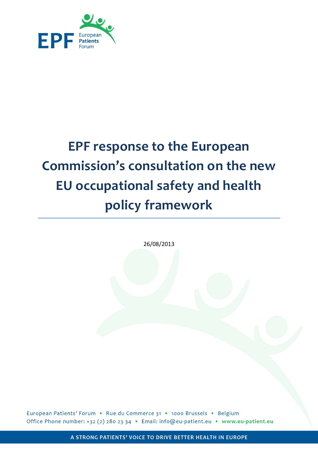

# **EPF response to the European Commission's consultation on the new EU occupational safety and health policy framework**

26/08/2013

European Patients' Forum . Rue du Commerce 31 . 1000 Brussels . Belgium Office Phone number: +32 (2) 280 23 34 · Email: info@eu-patient.eu · www.eu-patient.eu

A STRONG PATIENTS' VOICE TO DRIVE BETTER HEALTH IN EUROPE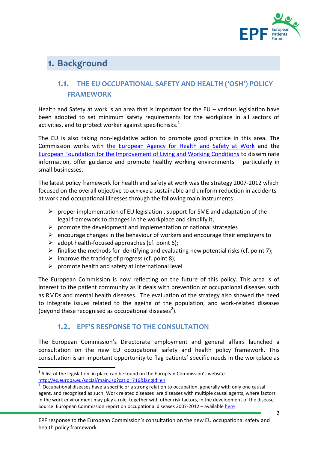

# 1. Background

# **1.1. THE EU OCCUPATIONAL SAFETY AND HEALTH ('OSH') POLICY FRAMEWORK**

Health and Safety at work is an area that is important for the EU – various legislation have been adopted to set minimum safety requirements for the workplace in all sectors of activities, and to protect worker against specific risks.<sup>1</sup>

The EU is also taking non-legislative action to promote good practice in this area. The Commission works with [the European Agency for Health and Safety at Work](https://osha.europa.eu/en/about) and the [European Foundation for the Improvement of Living and Working Conditions](http://www.eurofound.europa.eu/about/index.htm) to disseminate information, offer guidance and promote healthy working environments – particularly in small businesses.

The latest policy framework for health and safety at work was the strategy 2007-2012 which focused on the overall objective to achieve a sustainable and uniform reduction in accidents at work and occupational illnesses through the following main instruments:

- $\triangleright$  proper implementation of EU legislation, support for SME and adaptation of the legal framework to changes in the workplace and simplify it,
- $\triangleright$  promote the development and implementation of national strategies
- $\triangleright$  encourage changes in the behaviour of workers and encourage their employers to
- $\triangleright$  adopt health-focused approaches (cf. point 6):
- $\triangleright$  finalise the methods for identifying and evaluating new potential risks (cf. point 7);
- $\triangleright$  improve the tracking of progress (cf. point 8);
- $\triangleright$  promote health and safety at international level

The European Commission is now reflecting on the future of this policy. This area is of interest to the patient community as it deals with prevention of occupational diseases such as RMDs and mental health diseases. The evaluation of the strategy also showed the need to integrate issues related to the ageing of the population, and work-related diseases (beyond these recognised as occupational diseases<sup>2</sup>).

# **1.2. EPF'S RESPONSE TO THE CONSULTATION**

The European Commission's Directorate employment and general affairs launched a consultation on the new EU occupational safety and health policy framework. This consultation is an important opportunity to flag patients' specific needs in the workplace as

1

 $1$  A list of the legislation in place can be found on the European Commission's website <http://ec.europa.eu/social/main.jsp?catId=716&langId=en>

<sup>2</sup> Occupational diseases have a specific or a strong relation to occupation, generally with only one causal agent, and recognised as such. Work related diseases are diseases with multiple causal agents, where factors in the work environment may play a role, together with other risk factors, in the development of the disease. Source: European Commission report on occupational diseases 2007-2012 – available [here](https://www.google.be/url?sa=t&rct=j&q=&esrc=s&source=web&cd=2&cad=rja&ved=0CDoQFjAB&url=http%3A%2F%2Fec.europa.eu%2Fsocial%2FBlobServlet%3FdocId%3D3153%26langId%3Den&ei=-Hr7UaL-A4n2O5-ngKAL&usg=AFQjCNEH5DOY3su3Qfhm0EGx29DdLZVjIw&sig2=RrcBXEa3ooMquLqW-rE9YQ&bvm=bv.50165853,d.ZWU)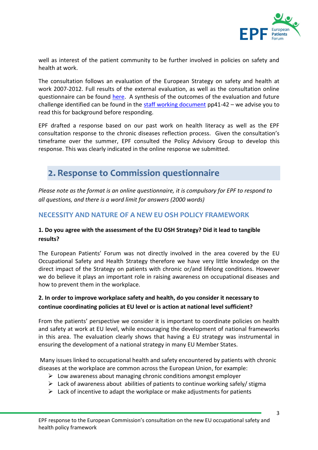

well as interest of the patient community to be further involved in policies on safety and health at work.

The consultation follows an evaluation of the European Strategy on safety and health at work 2007-2012. Full results of the external evaluation, as well as the consultation online questionnaire can be found [here.](http://ec.europa.eu/social/main.jsp?langId=en&catId=699&consultId=13&furtherConsult=yes) A synthesis of the outcomes of the evaluation and future challenge identified can be found in the [staff working document](http://ec.europa.eu/social/BlobServlet?docId=10016&langId=en) pp41-42 – we advise you to read this for background before responding.

EPF drafted a response based on our past work on health literacy as well as the EPF consultation response to the chronic diseases reflection process. Given the consultation's timeframe over the summer, EPF consulted the Policy Advisory Group to develop this response. This was clearly indicated in the online response we submitted.

# 2. Response to Commission questionnaire

*Please note as the format is an online questionnaire, it is compulsory for EPF to respond to all questions, and there is a word limit for answers (2000 words)*

# **NECESSITY AND NATURE OF A NEW EU OSH POLICY FRAMEWORK**

#### **1. Do you agree with the assessment of the EU OSH Strategy? Did it lead to tangible results?**

The European Patients' Forum was not directly involved in the area covered by the EU Occupational Safety and Health Strategy therefore we have very little knowledge on the direct impact of the Strategy on patients with chronic or/and lifelong conditions. However we do believe it plays an important role in raising awareness on occupational diseases and how to prevent them in the workplace.

## **2. In order to improve workplace safety and health, do you consider it necessary to continue coordinating policies at EU level or is action at national level sufficient?**

From the patients' perspective we consider it is important to coordinate policies on health and safety at work at EU level, while encouraging the development of national frameworks in this area. The evaluation clearly shows that having a EU strategy was instrumental in ensuring the development of a national strategy in many EU Member States.

Many issues linked to occupational health and safety encountered by patients with chronic diseases at the workplace are common across the European Union, for example:

- $\triangleright$  Low awareness about managing chronic conditions amongst employer
- $\triangleright$  Lack of awareness about abilities of patients to continue working safely/ stigma
- $\triangleright$  Lack of incentive to adapt the workplace or make adjustments for patients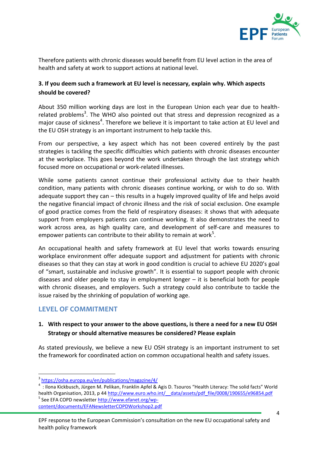

Therefore patients with chronic diseases would benefit from EU level action in the area of health and safety at work to support actions at national level.

#### **3. If you deem such a framework at EU level is necessary, explain why. Which aspects should be covered?**

About 350 million working days are lost in the European Union each year due to healthrelated problems<sup>3</sup>. The WHO also pointed out that stress and depression recognized as a major cause of sickness<sup>4</sup>. Therefore we believe it is important to take action at EU level and the EU OSH strategy is an important instrument to help tackle this.

From our perspective, a key aspect which has not been covered entirely by the past strategies is tackling the specific difficulties which patients with chronic diseases encounter at the workplace. This goes beyond the work undertaken through the last strategy which focused more on occupational or work-related illnesses.

While some patients cannot continue their professional activity due to their health condition, many patients with chronic diseases continue working, or wish to do so. With adequate support they can – this results in a hugely improved quality of life and helps avoid the negative financial impact of chronic illness and the risk of social exclusion. One example of good practice comes from the field of respiratory diseases: it shows that with adequate support from employers patients can continue working. It also demonstrates the need to work across area, as high quality care, and development of self-care and measures to empower patients can contribute to their ability to remain at work<sup>5</sup>.

An occupational health and safety framework at EU level that works towards ensuring workplace environment offer adequate support and adjustment for patients with chronic diseases so that they can stay at work in good condition is crucial to achieve EU 2020's goal of "smart, sustainable and inclusive growth". It is essential to support people with chronic diseases and older people to stay in employment longer – it is beneficial both for people with chronic diseases, and employers. Such a strategy could also contribute to tackle the issue raised by the shrinking of population of working age.

#### **LEVEL OF COMMITMENT**

**.** 

#### **1. With respect to your answer to the above questions, is there a need for a new EU OSH Strategy or should alternative measures be considered? Please explain**

As stated previously, we believe a new EU OSH strategy is an important instrument to set the framework for coordinated action on common occupational health and safety issues.

<sup>3</sup> <https://osha.europa.eu/en/publications/magazine/4/>

<sup>4</sup> : Ilona Kickbusch, Jürgen M. Pelikan, Franklin Apfel & Agis D. Tsouros "Health Literacy: The solid facts" World health Organisation, 2013, p 44 http://www.euro.who.int/ data/assets/pdf file/0008/190655/e96854.pdf <sup>5</sup> See EFA COPD newsletter [http://www.efanet.org/wp](http://www.efanet.org/wp-content/documents/EFANewsletterCOPDWorkshop2.pdf)[content/documents/EFANewsletterCOPDWorkshop2.pdf](http://www.efanet.org/wp-content/documents/EFANewsletterCOPDWorkshop2.pdf)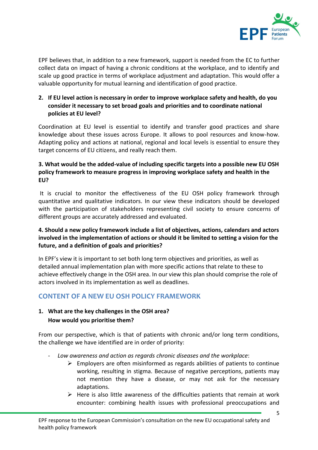

EPF believes that, in addition to a new framework, support is needed from the EC to further collect data on impact of having a chronic conditions at the workplace, and to identify and scale up good practice in terms of workplace adjustment and adaptation. This would offer a valuable opportunity for mutual learning and identification of good practice.

#### **2. If EU level action is necessary in order to improve workplace safety and health, do you consider it necessary to set broad goals and priorities and to coordinate national policies at EU level?**

Coordination at EU level is essential to identify and transfer good practices and share knowledge about these issues across Europe. It allows to pool resources and know-how. Adapting policy and actions at national, regional and local levels is essential to ensure they target concerns of EU citizens, and really reach them.

#### **3. What would be the added-value of including specific targets into a possible new EU OSH policy framework to measure progress in improving workplace safety and health in the EU?**

It is crucial to monitor the effectiveness of the EU OSH policy framework through quantitative and qualitative indicators. In our view these indicators should be developed with the participation of stakeholders representing civil society to ensure concerns of different groups are accurately addressed and evaluated.

#### **4. Should a new policy framework include a list of objectives, actions, calendars and actors involved in the implementation of actions or should it be limited to setting a vision for the future, and a definition of goals and priorities?**

In EPF's view it is important to set both long term objectives and priorities, as well as detailed annual implementation plan with more specific actions that relate to these to achieve effectively change in the OSH area. In our view this plan should comprise the role of actors involved in its implementation as well as deadlines.

# **CONTENT OF A NEW EU OSH POLICY FRAMEWORK**

## **1. What are the key challenges in the OSH area? How would you prioritise them?**

From our perspective, which is that of patients with chronic and/or long term conditions, the challenge we have identified are in order of priority:

- *Low awareness and action as regards chronic diseases and the workplace*:
	- $\triangleright$  Employers are often misinformed as regards abilities of patients to continue working, resulting in stigma. Because of negative perceptions, patients may not mention they have a disease, or may not ask for the necessary adaptations.
	- $\triangleright$  Here is also little awareness of the difficulties patients that remain at work encounter: combining health issues with professional preoccupations and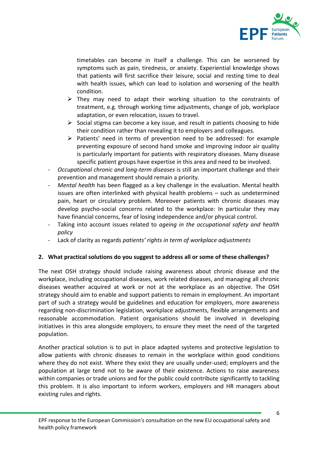

timetables can become in itself a challenge. This can be worsened by symptoms such as pain, tiredness, or anxiety. Experiential knowledge shows that patients will first sacrifice their leisure, social and resting time to deal with health issues, which can lead to isolation and worsening of the health condition.

- $\triangleright$  They may need to adapt their working situation to the constraints of treatment, e.g. through working time adjustments, change of job, workplace adaptation, or even relocation, issues to travel.
- $\triangleright$  Social stigma can become a key issue, and result in patients choosing to hide their condition rather than revealing it to employers and colleagues.
- $\triangleright$  Patients' need in terms of prevention need to be addressed: for example preventing exposure of second hand smoke and improving indoor air quality is particularly important for patients with respiratory diseases. Many disease specific patient groups have expertise in this area and need to be involved.
- *Occupational chronic and long-term diseases* is still an important challenge and their prevention and management should remain a priority.
- *Mental health* has been flagged as a key challenge in the evaluation. Mental health issues are often interlinked with physical health problems – such as undetermined pain, heart or circulatory problem. Moreover patients with chronic diseases may develop psycho-social concerns related to the workplace: In particular they may have financial concerns, fear of losing independence and/or physical control.
- Taking into account issues related to *ageing in the occupational safety and health policy*
- Lack of clarity as regards *patients' rights in term of workplace adjustments*

#### **2. What practical solutions do you suggest to address all or some of these challenges?**

The next OSH strategy should include raising awareness about chronic disease and the workplace, including occupational diseases, work related diseases, and managing all chronic diseases weather acquired at work or not at the workplace as an objective. The OSH strategy should aim to enable and support patients to remain in employment. An important part of such a strategy would be guidelines and education for employers, more awareness regarding non-discrimination legislation, workplace adjustments, flexible arrangements and reasonable accommodation. Patient organisations should be involved in developing initiatives in this area alongside employers, to ensure they meet the need of the targeted population.

Another practical solution is to put in place adapted systems and protective legislation to allow patients with chronic diseases to remain in the workplace within good conditions where they do not exist. Where they exist they are usually under-used; employers and the population at large tend not to be aware of their existence. Actions to raise awareness within companies or trade unions and for the public could contribute significantly to tackling this problem. It is also important to inform workers, employers and HR managers about existing rules and rights.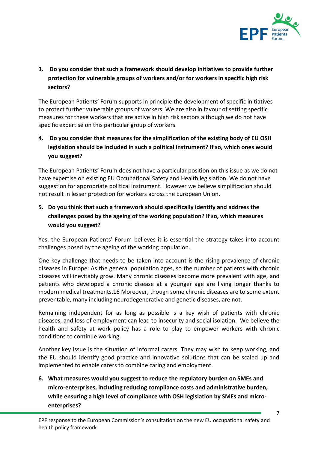

# **3. Do you consider that such a framework should develop initiatives to provide further protection for vulnerable groups of workers and/or for workers in specific high risk sectors?**

The European Patients' Forum supports in principle the development of specific initiatives to protect further vulnerable groups of workers. We are also in favour of setting specific measures for these workers that are active in high risk sectors although we do not have specific expertise on this particular group of workers.

# **4. Do you consider that measures for the simplification of the existing body of EU OSH legislation should be included in such a political instrument? If so, which ones would you suggest?**

The European Patients' Forum does not have a particular position on this issue as we do not have expertise on existing EU Occupational Safety and Health legislation. We do not have suggestion for appropriate political instrument. However we believe simplification should not result in lesser protection for workers across the European Union.

# **5. Do you think that such a framework should specifically identify and address the challenges posed by the ageing of the working population? If so, which measures would you suggest?**

Yes, the European Patients' Forum believes it is essential the strategy takes into account challenges posed by the ageing of the working population.

One key challenge that needs to be taken into account is the rising prevalence of chronic diseases in Europe: As the general population ages, so the number of patients with chronic diseases will inevitably grow. Many chronic diseases become more prevalent with age, and patients who developed a chronic disease at a younger age are living longer thanks to modern medical treatments.16 Moreover, though some chronic diseases are to some extent preventable, many including neurodegenerative and genetic diseases, are not.

Remaining independent for as long as possible is a key wish of patients with chronic diseases, and loss of employment can lead to insecurity and social isolation. We believe the health and safety at work policy has a role to play to empower workers with chronic conditions to continue working.

Another key issue is the situation of informal carers. They may wish to keep working, and the EU should identify good practice and innovative solutions that can be scaled up and implemented to enable carers to combine caring and employment.

**6. What measures would you suggest to reduce the regulatory burden on SMEs and micro-enterprises, including reducing compliance costs and administrative burden, while ensuring a high level of compliance with OSH legislation by SMEs and microenterprises?**